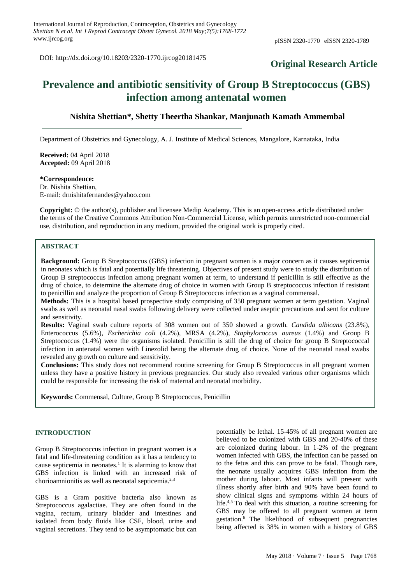DOI: http://dx.doi.org/10.18203/2320-1770.ijrcog20181475

# **Original Research Article**

# **Prevalence and antibiotic sensitivity of Group B Streptococcus (GBS) infection among antenatal women**

# **Nishita Shettian\*, Shetty Theertha Shankar, Manjunath Kamath Ammembal**

Department of Obstetrics and Gynecology, A. J. Institute of Medical Sciences, Mangalore, Karnataka, India

**Received:** 04 April 2018 **Accepted:** 09 April 2018

# **\*Correspondence:**

Dr. Nishita Shettian, E-mail: drnishitafernandes@yahoo.com

**Copyright:** © the author(s), publisher and licensee Medip Academy. This is an open-access article distributed under the terms of the Creative Commons Attribution Non-Commercial License, which permits unrestricted non-commercial use, distribution, and reproduction in any medium, provided the original work is properly cited.

# **ABSTRACT**

**Background:** Group B Streptococcus (GBS) infection in pregnant women is a major concern as it causes septicemia in neonates which is fatal and potentially life threatening. Objectives of present study were to study the distribution of Group B streptococcus infection among pregnant women at term, to understand if penicillin is still effective as the drug of choice, to determine the alternate drug of choice in women with Group B streptococcus infection if resistant to penicillin and analyze the proportion of Group B Streptococcus infection as a vaginal commensal.

**Methods:** This is a hospital based prospective study comprising of 350 pregnant women at term gestation. Vaginal swabs as well as neonatal nasal swabs following delivery were collected under aseptic precautions and sent for culture and sensitivity.

**Results:** Vaginal swab culture reports of 308 women out of 350 showed a growth. *Candida albicans* (23.8%), Enterococcus (5.6%), *Escherichia coli* (4.2%), MRSA (4.2%), *Staphylococcus aureus* (1.4%) and Group B Streptococcus (1.4%) were the organisms isolated. Penicillin is still the drug of choice for group B Streptococcal infection in antenatal women with Linezolid being the alternate drug of choice. None of the neonatal nasal swabs revealed any growth on culture and sensitivity.

**Conclusions:** This study does not recommend routine screening for Group B Streptococcus in all pregnant women unless they have a positive history in previous pregnancies. Our study also revealed various other organisms which could be responsible for increasing the risk of maternal and neonatal morbidity.

**Keywords:** Commensal, Culture, Group B Streptococcus, Penicillin

## **INTRODUCTION**

Group B Streptococcus infection in pregnant women is a fatal and life-threatening condition as it has a tendency to cause septicemia in neonates.<sup>1</sup> It is alarming to know that GBS infection is linked with an increased risk of chorioamnionitis as well as neonatal septicemia.2,3

GBS is a Gram positive bacteria also known as Streptococcus agalactiae. They are often found in the vagina, rectum, urinary bladder and intestines and isolated from body fluids like CSF, blood, urine and vaginal secretions. They tend to be asymptomatic but can potentially be lethal. 15-45% of all pregnant women are believed to be colonized with GBS and 20-40% of these are colonized during labour. In 1-2% of the pregnant women infected with GBS, the infection can be passed on to the fetus and this can prove to be fatal. Though rare, the neonate usually acquires GBS infection from the mother during labour. Most infants will present with illness shortly after birth and 90% have been found to show clinical signs and symptoms within 24 hours of life.4,5 To deal with this situation, a routine screening for GBS may be offered to all pregnant women at term gestation.<sup>6</sup> The likelihood of subsequent pregnancies being affected is 38% in women with a history of GBS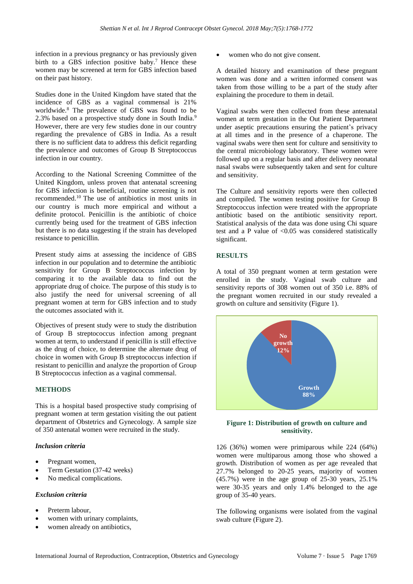infection in a previous pregnancy or has previously given birth to a GBS infection positive baby.<sup>7</sup> Hence these women may be screened at term for GBS infection based on their past history.

Studies done in the United Kingdom have stated that the incidence of GBS as a vaginal commensal is 21% worldwide.<sup>8</sup> The prevalence of GBS was found to be 2.3% based on a prospective study done in South India.<sup>9</sup> However, there are very few studies done in our country regarding the prevalence of GBS in India. As a result there is no sufficient data to address this deficit regarding the prevalence and outcomes of Group B Streptococcus infection in our country.

According to the National Screening Committee of the United Kingdom, unless proven that antenatal screening for GBS infection is beneficial, routine screening is not recommended.<sup>10</sup> The use of antibiotics in most units in our country is much more empirical and without a definite protocol. Penicillin is the antibiotic of choice currently being used for the treatment of GBS infection but there is no data suggesting if the strain has developed resistance to penicillin.

Present study aims at assessing the incidence of GBS infection in our population and to determine the antibiotic sensitivity for Group B Streptococcus infection by comparing it to the available data to find out the appropriate drug of choice. The purpose of this study is to also justify the need for universal screening of all pregnant women at term for GBS infection and to study the outcomes associated with it.

Objectives of present study were to study the distribution of Group B streptococcus infection among pregnant women at term, to understand if penicillin is still effective as the drug of choice, to determine the alternate drug of choice in women with Group B streptococcus infection if resistant to penicillin and analyze the proportion of Group B Streptococcus infection as a vaginal commensal.

# **METHODS**

This is a hospital based prospective study comprising of pregnant women at term gestation visiting the out patient department of Obstetrics and Gynecology. A sample size of 350 antenatal women were recruited in the study.

# *Inclusion criteria*

- Pregnant women.
- Term Gestation (37-42 weeks)
- No medical complications.

#### *Exclusion criteria*

- Preterm labour.
- women with urinary complaints,
- women already on antibiotics,

women who do not give consent.

A detailed history and examination of these pregnant women was done and a written informed consent was taken from those willing to be a part of the study after explaining the procedure to them in detail.

Vaginal swabs were then collected from these antenatal women at term gestation in the Out Patient Department under aseptic precautions ensuring the patient's privacy at all times and in the presence of a chaperone. The vaginal swabs were then sent for culture and sensitivity to the central microbiology laboratory. These women were followed up on a regular basis and after delivery neonatal nasal swabs were subsequently taken and sent for culture and sensitivity.

The Culture and sensitivity reports were then collected and compiled. The women testing positive for Group B Streptococcus infection were treated with the appropriate antibiotic based on the antibiotic sensitivity report. Statistical analysis of the data was done using Chi square test and a P value of  $< 0.05$  was considered statistically significant.

# **RESULTS**

A total of 350 pregnant women at term gestation were enrolled in the study. Vaginal swab culture and sensitivity reports of 308 women out of 350 i.e. 88% of the pregnant women recruited in our study revealed a growth on culture and sensitivity (Figure 1).



## **Figure 1: Distribution of growth on culture and sensitivity.**

126 (36%) women were primiparous while 224 (64%) women were multiparous among those who showed a growth. Distribution of women as per age revealed that 27.7% belonged to 20-25 years, majority of women (45.7%) were in the age group of 25-30 years, 25.1% were 30-35 years and only 1.4% belonged to the age group of 35-40 years.

The following organisms were isolated from the vaginal swab culture (Figure 2).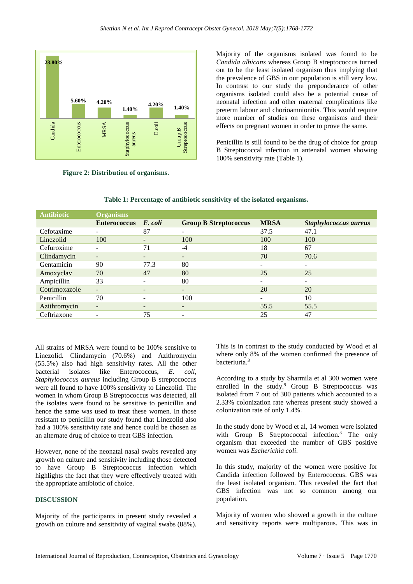

**Figure 2: Distribution of organisms.**

Majority of the organisms isolated was found to be *Candida albicans* whereas Group B streptococcus turned out to be the least isolated organism thus implying that the prevalence of GBS in our population is still very low. In contrast to our study the preponderance of other organisms isolated could also be a potential cause of neonatal infection and other maternal complications like preterm labour and chorioamnionitis. This would require more number of studies on these organisms and their effects on pregnant women in order to prove the same.

Penicillin is still found to be the drug of choice for group B Streptococcal infection in antenatal women showing 100% sensitivity rate (Table 1).

| <b>Antibiotic</b> | <b>Organisms</b>         |                          |                              |                          |                       |
|-------------------|--------------------------|--------------------------|------------------------------|--------------------------|-----------------------|
|                   | <b>Enterococcus</b>      | E. coli                  | <b>Group B Streptococcus</b> | <b>MRSA</b>              | Staphylococcus aureus |
| Cefotaxime        |                          | 87                       |                              | 37.5                     | 47.1                  |
| Linezolid         | 100                      | $\overline{\phantom{0}}$ | 100                          | 100                      | 100                   |
| Cefuroxime        |                          | 71                       | $-4$                         | 18                       | 67                    |
| Clindamycin       | $\overline{\phantom{a}}$ | $\sim$                   | -                            | 70                       | 70.6                  |
| Gentamicin        | 90                       | 77.3                     | 80                           | ۰                        |                       |
| Amoxyclav         | 70                       | 47                       | 80                           | 25                       | 25                    |
| Ampicillin        | 33                       |                          | 80                           | $\sim$                   |                       |
| Cotrimoxazole     | $\overline{\phantom{0}}$ |                          | -                            | 20                       | 20                    |
| Penicillin        | 70                       |                          | 100                          | $\overline{\phantom{0}}$ | 10                    |
| Azithromycin      | $\overline{\phantom{m}}$ |                          | -                            | 55.5                     | 55.5                  |
| Ceftriaxone       | -                        | 75                       | -                            | 25                       | 47                    |
|                   |                          |                          |                              |                          |                       |

**Table 1: Percentage of antibiotic sensitivity of the isolated organisms.**

All strains of MRSA were found to be 100% sensitive to Linezolid. Clindamycin (70.6%) and Azithromycin (55.5%) also had high sensitivity rates. All the other bacterial isolates like Enterococcus, *E. coli*, *Staphylococcus aureus* including Group B streptococcus were all found to have 100% sensitivity to Linezolid. The women in whom Group B Streptococcus was detected, all the isolates were found to be sensitive to penicillin and hence the same was used to treat these women. In those resistant to penicillin our study found that Linezolid also had a 100% sensitivity rate and hence could be chosen as an alternate drug of choice to treat GBS infection.

However, none of the neonatal nasal swabs revealed any growth on culture and sensitivity including those detected to have Group B Streptococcus infection which highlights the fact that they were effectively treated with the appropriate antibiotic of choice.

# **DISCUSSION**

Majority of the participants in present study revealed a growth on culture and sensitivity of vaginal swabs (88%). This is in contrast to the study conducted by Wood et al where only 8% of the women confirmed the presence of bacteriuria.<sup>3</sup>

According to a study by Sharmila et al 300 women were enrolled in the study.<sup>9</sup> Group B Streptococcus was isolated from 7 out of 300 patients which accounted to a 2.33% colonization rate whereas present study showed a colonization rate of only 1.4%.

In the study done by Wood et al, 14 women were isolated with Group B Streptococcal infection.<sup>3</sup> The only organism that exceeded the number of GBS positive women was *Escherichia coli*.

In this study, majority of the women were positive for Candida infection followed by Enterococcus. GBS was the least isolated organism. This revealed the fact that GBS infection was not so common among our population.

Majority of women who showed a growth in the culture and sensitivity reports were multiparous. This was in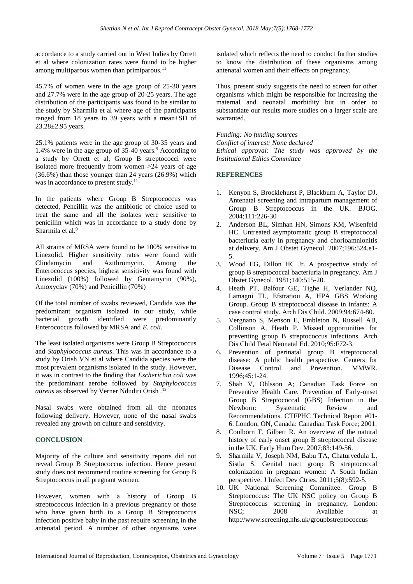accordance to a study carried out in West Indies by Orrett et al where colonization rates were found to be higher among multiparous women than primiparous. $11$ 

45.7% of women were in the age group of 25-30 years and 27.7% were in the age group of 20-25 years. The age distribution of the participants was found to be similar to the study by Sharmila et al where age of the participants ranged from 18 years to 39 years with a mean±SD of 23.28±2.95 years.

25.1% patients were in the age group of 30-35 years and 1.4% were in the age group of 35-40 years.<sup>9</sup> According to a study by Orrett et al, Group B streptococci were isolated more frequently from women >24 years of age (36.6%) than those younger than 24 years (26.9%) which was in accordance to present study.<sup>11</sup>

In the patients where Group B Streptococcus was detected, Pencillin was the antibiotic of choice used to treat the same and all the isolates were sensitive to penicillin which was in accordance to a study done by Sharmila et al.<sup>9</sup>

All strains of MRSA were found to be 100% sensitive to Linezolid. Higher sensitivity rates were found with Clindamycin and Azithromycin. Among the Enterococcus species, highest sensitivity was found with Linezolid (100%) followed by Gentamycin (90%), Amoxyclav (70%) and Penicillin (70%)

Of the total number of swabs reviewed, Candida was the predominant organism isolated in our study, while bacterial growth identified were predominantly Enterococcus followed by MRSA and *E. coli*.

The least isolated organisms were Group B Streptococcus and *Staphylococcus aureus*. This was in accordance to a study by Orish VN et al where Candida species were the most prevalent organisms isolated in the study. However, it was in contrast to the finding that *Escherichia coli* was the predominant aerobe followed by *Staphylococcus aureus* as observed by Verner Ndudiri Orish .<sup>12</sup>

Nasal swabs were obtained from all the neonates following delivery. However, none of the nasal swabs revealed any growth on culture and sensitivity.

# **CONCLUSION**

Majority of the culture and sensitivity reports did not reveal Group B Streptococcus infection. Hence present study does not recommend routine screening for Group B Streptococcus in all pregnant women.

However, women with a history of Group B streptococcus infection in a previous pregnancy or those who have given birth to a Group B Streptococcus infection positive baby in the past require screening in the antenatal period. A number of other organisms were isolated which reflects the need to conduct further studies to know the distribution of these organisms among antenatal women and their effects on pregnancy.

Thus, present study suggests the need to screen for other organisms which might be responsible for increasing the maternal and neonatal morbidity but in order to substantiate our results more studies on a larger scale are warranted.

## *Funding: No funding sources*

*Conflict of interest: None declared*

*Ethical approval: The study was approved by the Institutional Ethics Committee*

## **REFERENCES**

- 1. Kenyon S, Brocklehurst P, Blackburn A, Taylor DJ. Antenatal screening and intrapartum management of Group B Streptococcus in the UK. BJOG. 2004;111:226-30
- 2. Anderson BL, Simhan HN, Simons KM, Wisenfeld HC. Untreated asymptomatic group B streptococcal bacteriuria early in pregnancy and chorioamnionitis at delivery. Am J Obstet Gynecol. 2007;196:524.e1- 5.
- 3. Wood EG, Dillon HC Jr. A prospective study of group B streptococcal bacteriuria in pregnancy. Am J Obstet Gynecol. 1981;140:515-20.
- 4. Heath PT, Balfour GE, Tighe H, Verlander NQ, Lamagni TL, Efstratiou A, HPA GBS Working Group. Group B streptococcal disease in infants: A case control study. Arch Dis Child. 2009;94:674-80.
- 5. Vergnano S, Menson E, Embleton N, Russell AB, Collinson A, Heath P. Missed opportunities for preventing group B streptococcus infections. Arch Dis Child Fetal Neonatal Ed. 2010;95:F72-3.
- 6. Prevention of perinatal group B streptococcal disease: A public health perspective. Centers for Disease Control and Prevention. MMWR. 1996;45:1-24.
- 7. Shah V, Ohlsson A; Canadian Task Force on Preventive Health Care. Prevention of Early-onset Group B Streptococcal (GBS) Infection in the Newborn: Systematic Review and Recommendations. CTFPHC Technical Report #01- 6. London, ON, Canada: Canadian Task Force; 2001.
- 8. Coulborn T, Gilbert R. An overview of the natural history of early onset group B streptococcal disease in the UK. Early Hum Dev. 2007;83:149-56.
- 9. Sharmila V, Joseph NM, Babu TA, Chaturvedula L, Sistla S. Genital tract group B streptococcal colonization in pregnant women: A South Indian perspective. J Infect Dev Ctries. 2011;5(8):592-5.
- 10. UK National Screening Committee. Group B Streptococcus: The UK NSC policy on Group B Streptococcus screening in pregnancy, London: NSC; 2008 Avaliable at http://www.screening.nhs.uk/groupbstreptococcus